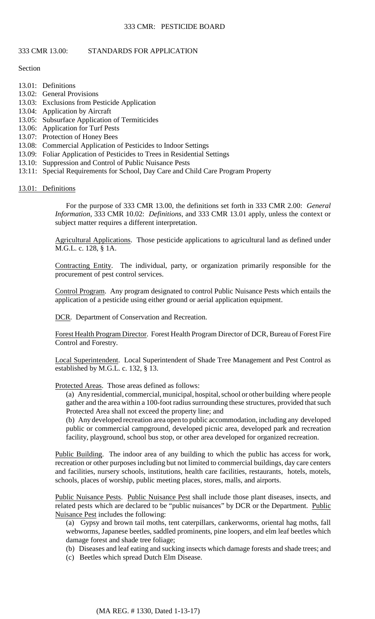### 333 CMR 13.00: STANDARDS FOR APPLICATION

Section

- 13.01: Definitions
- 13.02: General Provisions
- 13.03: Exclusions from Pesticide Application
- 13.04: Application by Aircraft
- 13.05: Subsurface Application of Termiticides
- 13.06: Application for Turf Pests
- 13.07: Protection of Honey Bees
- 13.08: Commercial Application of Pesticides to Indoor Settings
- 13.09: Foliar Application of Pesticides to Trees in Residential Settings
- 13.10: Suppression and Control of Public Nuisance Pests
- 13:11: Special Requirements for School, Day Care and Child Care Program Property

13.01: Definitions

For the purpose of 333 CMR 13.00, the definitions set forth in 333 CMR 2.00: *General Information*, 333 CMR 10.02: *Definitions*, and 333 CMR 13.01 apply, unless the context or subject matter requires a different interpretation.

 Agricultural Applications. Those pesticide applications to agricultural land as defined under M.G.L. c. 128, § 1A.

Contracting Entity. The individual, party, or organization primarily responsible for the procurement of pest control services.

Control Program. Any program designated to control Public Nuisance Pests which entails the application of a pesticide using either ground or aerial application equipment.

DCR. Department of Conservation and Recreation.

Forest Health Program Director. Forest Health Program Director of DCR, Bureau of Forest Fire Control and Forestry.

Local Superintendent. Local Superintendent of Shade Tree Management and Pest Control as established by M.G.L. c. 132, § 13.

Protected Areas. Those areas defined as follows:

(a) Any residential, commercial, municipal, hospital, school or other building where people gather and the area within a 100-foot radius surrounding these structures, provided that such Protected Area shall not exceed the property line; and

 (b) Any developed recreation area open to public accommodation, including any developed public or commercial campground, developed picnic area, developed park and recreation facility, playground, school bus stop, or other area developed for organized recreation.

Public Building. The indoor area of any building to which the public has access for work, recreation or other purposes including but not limited to commercial buildings, day care centers and facilities, nursery schools, institutions, health care facilities, restaurants, hotels, motels, schools, places of worship, public meeting places, stores, malls, and airports.

Public Nuisance Pests. Public Nuisance Pest shall include those plant diseases, insects, and related pests which are declared to be "public nuisances" by DCR or the Department. Public Nuisance Pest includes the following:

(a) Gypsy and brown tail moths, tent caterpillars, cankerworms, oriental hag moths, fall webworms, Japanese beetles, saddled prominents, pine loopers, and elm leaf beetles which damage forest and shade tree foliage;

- (b) Diseases and leaf eating and sucking insects which damage forests and shade trees; and
- (c) Beetles which spread Dutch Elm Disease.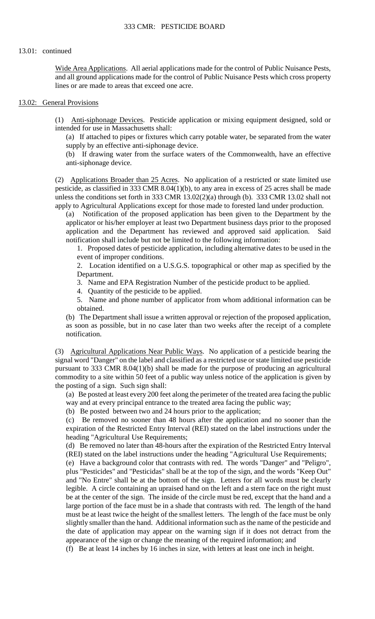and all ground applications made for the control of Public Nuisance Pests which cross property Wide Area Applications. All aerial applications made for the control of Public Nuisance Pests, lines or are made to areas that exceed one acre.

#### 13.02: General Provisions

(1) Anti-siphonage Devices. Pesticide application or mixing equipment designed, sold or intended for use in Massachusetts shall:

(a) If attached to pipes or fixtures which carry potable water, be separated from the water supply by an effective anti-siphonage device.

 (b) If drawing water from the surface waters of the Commonwealth, have an effective anti-siphonage device*.* 

(2) Applications Broader than 25 Acres. No application of a restricted or state limited use pesticide, as classified in 333 CMR 8.04(1)(b), to any area in excess of 25 acres shall be made unless the conditions set forth in 333 CMR 13.02(2)(a) through (b). 333 CMR 13.02 shall not apply to Agricultural Applications except for those made to forested land under production.

 (a) Notification of the proposed application has been given to the Department by the applicator or his/her employer at least two Department business days prior to the proposed application and the Department has reviewed and approved said application. Said notification shall include but not be limited to the following information:

1. Proposed dates of pesticide application, including alternative dates to be used in the event of improper conditions.

2. Location identified on a U.S.G.S. topographical or other map as specified by the Department.

3. Name and EPA Registration Number of the pesticide product to be applied.

4. Quantity of the pesticide to be applied.

5. Name and phone number of applicator from whom additional information can be obtained.

(b) The Department shall issue a written approval or rejection of the proposed application, as soon as possible, but in no case later than two weeks after the receipt of a complete notification.

(3) Agricultural Applications Near Public Ways. No application of a pesticide bearing the signal word "Danger" on the label and classified as a restricted use or state limited use pesticide pursuant to 333 CMR 8.04(1)(b) shall be made for the purpose of producing an agricultural commodity to a site within 50 feet of a public way unless notice of the application is given by the posting of a sign. Such sign shall:

(a) Be posted at least every 200 feet along the perimeter of the treated area facing the public way and at every principal entrance to the treated area facing the public way;

(b) Be posted between two and 24 hours prior to the application;

 (c) Be removed no sooner than 48 hours after the application and no sooner than the expiration of the Restricted Entry Interval (REI) stated on the label instructions under the heading "Agricultural Use Requirements;

(d) Be removed no later than 48-hours after the expiration of the Restricted Entry Interval (REI) stated on the label instructions under the heading "Agricultural Use Requirements;

 plus "Pesticides" and "Pesticidas" shall be at the top of the sign, and the words "Keep Out" and "No Entre" shall be at the bottom of the sign. Letters for all words must be clearly legible. A circle containing an upraised hand on the left and a stern face on the right must must be at least twice the height of the smallest letters. The length of the face must be only (e) Have a background color that contrasts with red. The words "Danger" and "Peligro", be at the center of the sign. The inside of the circle must be red, except that the hand and a large portion of the face must be in a shade that contrasts with red. The length of the hand slightly smaller than the hand. Additional information such as the name of the pesticide and the date of application may appear on the warning sign if it does not detract from the appearance of the sign or change the meaning of the required information; and

(f) Be at least 14 inches by 16 inches in size, with letters at least one inch in height.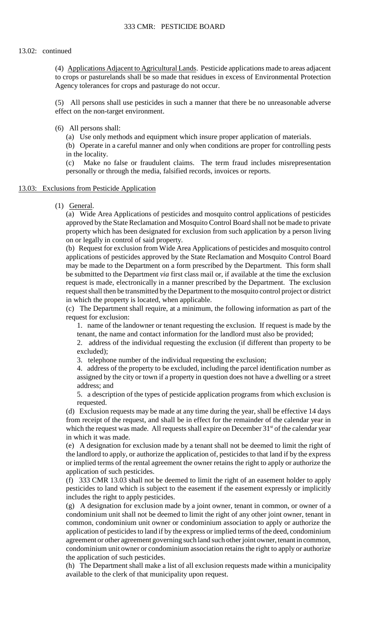(4) Applications Adjacent to Agricultural Lands. Pesticide applications made to areas adjacent to crops or pasturelands shall be so made that residues in excess of Environmental Protection Agency tolerances for crops and pasturage do not occur.

(5) All persons shall use pesticides in such a manner that there be no unreasonable adverse effect on the non-target environment.

(6) All persons shall:

(a) Use only methods and equipment which insure proper application of materials.

 (b) Operate in a careful manner and only when conditions are proper for controlling pests in the locality.

(c) Make no false or fraudulent claims. The term fraud includes misrepresentation personally or through the media, falsified records, invoices or reports.

#### 13.03: Exclusions from Pesticide Application

(1) General.

 approved by the State Reclamation and Mosquito Control Board shall not be made to private (a) Wide Area Applications of pesticides and mosquito control applications of pesticides property which has been designated for exclusion from such application by a person living on or legally in control of said property.

(b) Request for exclusion from Wide Area Applications of pesticides and mosquito control applications of pesticides approved by the State Reclamation and Mosquito Control Board may be made to the Department on a form prescribed by the Department. This form shall be submitted to the Department *via* first class mail or, if available at the time the exclusion request is made, electronically in a manner prescribed by the Department. The exclusion request shall then be transmitted by the Department to the mosquito control project or district in which the property is located, when applicable.

 (c) The Department shall require, at a minimum, the following information as part of the request for exclusion:

 1. name of the landowner or tenant requesting the exclusion. If request is made by the tenant, the name and contact information for the landlord must also be provided;

2. address of the individual requesting the exclusion (if different than property to be excluded);

3. telephone number of the individual requesting the exclusion;

 4. address of the property to be excluded, including the parcel identification number as assigned by the city or town if a property in question does not have a dwelling or a street address; and

5. a description of the types of pesticide application programs from which exclusion is requested.

 (d) Exclusion requests may be made at any time during the year, shall be effective 14 days from receipt of the request, and shall be in effect for the remainder of the calendar year in from receipt of the request, and shall be in effect for the remainder of the calendar year in which the request was made. All requests shall expire on December 31<sup>st</sup> of the calendar year in which it was made.

 (e) A designation for exclusion made by a tenant shall not be deemed to limit the right of the landlord to apply, or authorize the application of, pesticides to that land if by the express or implied terms of the rental agreement the owner retains the right to apply or authorize the application of such pesticides.

(f) 333 CMR 13.03 shall not be deemed to limit the right of an easement holder to apply pesticides to land which is subject to the easement if the easement expressly or implicitly includes the right to apply pesticides.

 condominium unit owner or condominium association retains the right to apply or authorize (g) A designation for exclusion made by a joint owner, tenant in common, or owner of a condominium unit shall not be deemed to limit the right of any other joint owner, tenant in common, condominium unit owner or condominium association to apply or authorize the application of pesticides to land if by the express or implied terms of the deed, condominium agreement or other agreement governing such land such other joint owner, tenant in common, the application of such pesticides.

 (h) The Department shall make a list of all exclusion requests made within a municipality available to the clerk of that municipality upon request.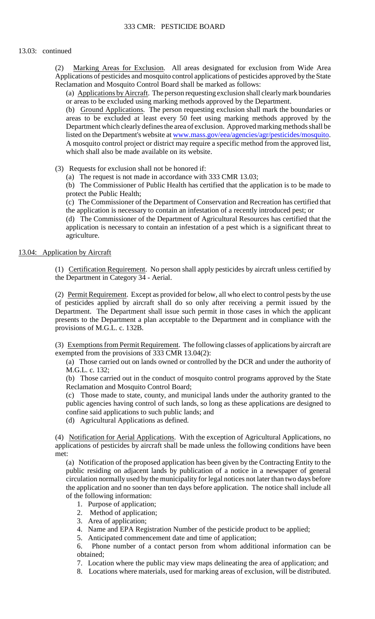Applications of pesticides and mosquito control applications of pesticides approved by the State (2) Marking Areas for Exclusion. All areas designated for exclusion from Wide Area Reclamation and Mosquito Control Board shall be marked as follows:

(a) Applications by Aircraft. The person requesting exclusion shall clearly mark boundaries or areas to be excluded using marking methods approved by the Department.

 areas to be excluded at least every 50 feet using marking methods approved by the A mosquito control project or district may require a specific method from the approved list, (b) Ground Applications. The person requesting exclusion shall mark the boundaries or Department which clearly defines the area of exclusion. Approved marking methods shall be listed on the Department's website at [www.mass.gov/eea/agencies/agr/pesticides/mosquito](http://www.mass.gov/eea/agencies/agr/pesticides/mosquito). which shall also be made available on its website.

(3) Requests for exclusion shall not be honored if:

(a) The request is not made in accordance with 333 CMR 13.03;

 (b) The Commissioner of Public Health has certified that the application is to be made to protect the Public Health;

(c) The Commissioner of the Department of Conservation and Recreation has certified that the application is necessary to contain an infestation of a recently introduced pest; or

(d) The Commissioner of the Department of Agricultural Resources has certified that the application is necessary to contain an infestation of a pest which is a significant threat to agriculture.

#### 13.04: Application by Aircraft

(1) Certification Requirement. No person shall apply pesticides by aircraft unless certified by the Department in Category 34 - Aerial.

(2) Permit Requirement. Except as provided for below, all who elect to control pests by the use of pesticides applied by aircraft shall do so only after receiving a permit issued by the Department. The Department shall issue such permit in those cases in which the applicant presents to the Department a plan acceptable to the Department and in compliance with the provisions of M.G.L. c. 132B.

(3) Exemptions from Permit Requirement. The following classes of applications by aircraft are exempted from the provisions of 333 CMR 13.04(2):

 (a) Those carried out on lands owned or controlled by the DCR and under the authority of M.G.L. c. 132;

(b) Those carried out in the conduct of mosquito control programs approved by the State Reclamation and Mosquito Control Board;

(c) Those made to state, county, and municipal lands under the authority granted to the public agencies having control of such lands, so long as these applications are designed to confine said applications to such public lands; and

(d) Agricultural Applications as defined.

(4) Notification for Aerial Applications. With the exception of Agricultural Applications, no applications of pesticides by aircraft shall be made unless the following conditions have been met:

(a) Notification of the proposed application has been given by the Contracting Entity to the public residing on adjacent lands by publication of a notice in a newspaper of general circulation normally used by the municipality for legal notices not later than two days before the application and no sooner than ten days before application. The notice shall include all of the following information:

- 1. Purpose of application;
- 2. Method of application;
- 3. Area of application;
- 4. Name and EPA Registration Number of the pesticide product to be applied;
- 5. Anticipated commencement date and time of application;

6. 6. Phone number of a contact person from whom additional information can be obtained;

- 7. Location where the public may view maps delineating the area of application; and
- 8. Locations where materials, used for marking areas of exclusion, will be distributed.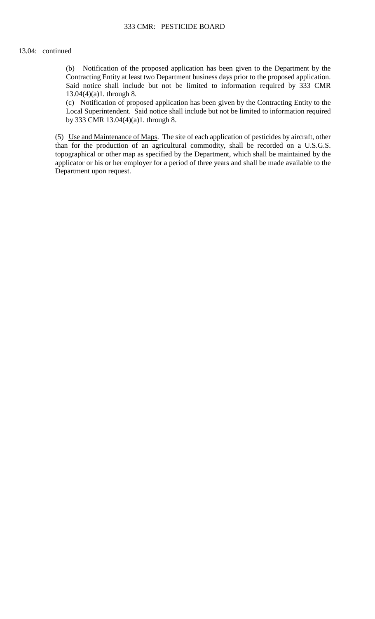(b) Notification of the proposed application has been given to the Department by the Contracting Entity at least two Department business days prior to the proposed application. Said notice shall include but not be limited to information required by 333 CMR 13.04(4)(a)1. through 8.

(c) Notification of proposed application has been given by the Contracting Entity to the Local Superintendent. Said notice shall include but not be limited to information required by 333 CMR 13.04(4)(a)1. through 8.

(5) Use and Maintenance of Maps. The site of each application of pesticides by aircraft, other than for the production of an agricultural commodity, shall be recorded on a U.S.G.S. topographical or other map as specified by the Department, which shall be maintained by the applicator or his or her employer for a period of three years and shall be made available to the Department upon request.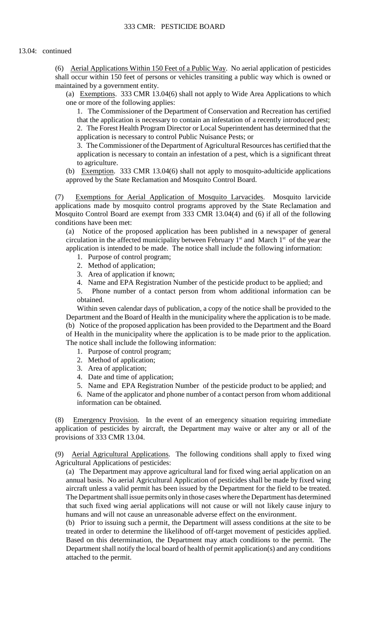(6) Aerial Applications Within 150 Feet of a Public Way. No aerial application of pesticides shall occur within 150 feet of persons or vehicles transiting a public way which is owned or maintained by a government entity.

 (a) Exemptions. 333 CMR 13.04(6) shall not apply to Wide Area Applications to which one or more of the following applies:

1. The Commissioner of the Department of Conservation and Recreation has certified that the application is necessary to contain an infestation of a recently introduced pest; 2. The Forest Health Program Director or Local Superintendent has determined that the application is necessary to control Public Nuisance Pests; or

3. The Commissioner of the Department of Agricultural Resources has certified that the application is necessary to contain an infestation of a pest, which is a significant threat to agriculture.

(b) Exemption. 333 CMR 13.04(6) shall not apply to mosquito-adulticide applications approved by the State Reclamation and Mosquito Control Board.

 Mosquito Control Board are exempt from 333 CMR 13.04(4) and (6) if all of the following (7) Exemptions for Aerial Application of Mosquito Larvacides. Mosquito larvicide applications made by mosquito control programs approved by the State Reclamation and conditions have been met:

(a) Notice of the proposed application has been published in a newspaper of general circulation in the affected municipality between February  $1<sup>st</sup>$  and March  $1<sup>st</sup>$  of the year the application is intended to be made. The notice shall include the following information:

- 1. Purpose of control program;
- 2. Method of application;
- 3. Area of application if known;
- 4. Name and EPA Registration Number of the pesticide product to be applied; and

 5. Phone number of a contact person from whom additional information can be obtained.

Within seven calendar days of publication, a copy of the notice shall be provided to the Department and the Board of Health in the municipality where the application is to be made. (b) Notice of the proposed application has been provided to the Department and the Board of Health in the municipality where the application is to be made prior to the application. The notice shall include the following information:

- 1. Purpose of control program;
- 2. Method of application;
- 3. Area of application;
- 4. Date and time of application;
- 5. Name and EPA Registration Number of the pesticide product to be applied; and

6. Name of the applicator and phone number of a contact person from whom additional information can be obtained.

(8) Emergency Provision. In the event of an emergency situation requiring immediate application of pesticides by aircraft, the Department may waive or alter any or all of the provisions of 333 CMR 13.04.

 (9) Aerial Agricultural Applications. The following conditions shall apply to fixed wing Agricultural Applications of pesticides:

 (a) The Department may approve agricultural land for fixed wing aerial application on an annual basis. No aerial Agricultural Application of pesticides shall be made by fixed wing aircraft unless a valid permit has been issued by the Department for the field to be treated. The Department shall issue permits only in those cases where the Department has determined that such fixed wing aerial applications will not cause or will not likely cause injury to humans and will not cause an unreasonable adverse effect on the environment.

(b) Prior to issuing such a permit, the Department will assess conditions at the site to be treated in order to determine the likelihood of off-target movement of pesticides applied. Based on this determination, the Department may attach conditions to the permit. The Department shall notify the local board of health of permit application(s) and any conditions attached to the permit.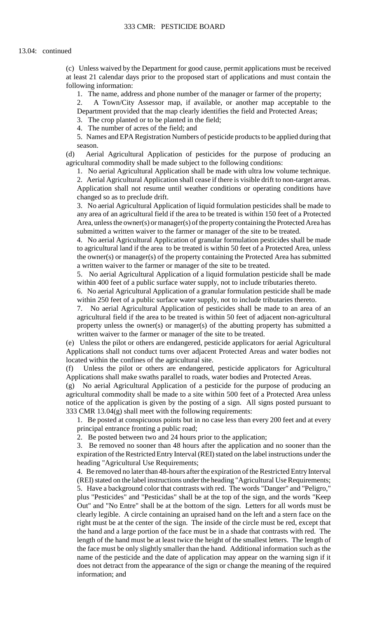at least 21 calendar days prior to the proposed start of applications and must contain the (c) Unless waived by the Department for good cause, permit applications must be received following information:

1. The name, address and phone number of the manager or farmer of the property;

2. A Town/City Assessor map, if available, or another map acceptable to the Department provided that the map clearly identifies the field and Protected Areas;

3. The crop planted or to be planted in the field;

4. The number of acres of the field; and

5. Names and EPA Registration Numbers of pesticide products to be applied during that season.

(d) Aerial Agricultural Application of pesticides for the purpose of producing an agricultural commodity shall be made subject to the following conditions:

1. No aerial Agricultural Application shall be made with ultra low volume technique.

 2. Aerial Agricultural Application shall cease if there is visible drift to non-target areas. Application shall not resume until weather conditions or operating conditions have changed so as to preclude drift.

 3. No aerial Agricultural Application of liquid formulation pesticides shall be made to any area of an agricultural field if the area to be treated is within 150 feet of a Protected Area, unless the owner(s) or manager(s) of the property containing the Protected Area has submitted a written waiver to the farmer or manager of the site to be treated.

 4. No aerial Agricultural Application of granular formulation pesticides shall be made to agricultural land if the area to be treated is within 50 feet of a Protected Area, unless the owner(s) or manager(s) of the property containing the Protected Area has submitted a written waiver to the farmer or manager of the site to be treated.

 5. No aerial Agricultural Application of a liquid formulation pesticide shall be made within 400 feet of a public surface water supply, not to include tributaries thereto.

6. No aerial Agricultural Application of a granular formulation pesticide shall be made within 250 feet of a public surface water supply, not to include tributaries thereto.

 agricultural field if the area to be treated is within 50 feet of adjacent non-agricultural 7. No aerial Agricultural Application of pesticides shall be made to an area of an property unless the owner(s) or manager(s) of the abutting property has submitted a written waiver to the farmer or manager of the site to be treated.

(e) Unless the pilot or others are endangered, pesticide applicators for aerial Agricultural Applications shall not conduct turns over adjacent Protected Areas and water bodies not located within the confines of the agricultural site.

(f) Unless the pilot or others are endangered, pesticide applicators for Agricultural Applications shall make swaths parallel to roads, water bodies and Protected Areas.

(g) No aerial Agricultural Application of a pesticide for the purpose of producing an agricultural commodity shall be made to a site within 500 feet of a Protected Area unless notice of the application is given by the posting of a sign. All signs posted pursuant to 333 CMR 13.04(g) shall meet with the following requirements:

1. Be posted at conspicuous points but in no case less than every 200 feet and at every principal entrance fronting a public road;

2. Be posted between two and 24 hours prior to the application;

 3. Be removed no sooner than 48 hours after the application and no sooner than the expiration of the Restricted Entry Interval (REI) stated on the label instructions under the heading "Agricultural Use Requirements;

 (REI) stated on the label instructions under the heading "Agricultural Use Requirements; 4. Be removed no later than 48-hours after the expiration of the Restricted Entry Interval 5. Have a background color that contrasts with red. The words "Danger" and "Peligro," plus "Pesticides" and "Pesticidas" shall be at the top of the sign, and the words "Keep Out" and "No Entre" shall be at the bottom of the sign. Letters for all words must be clearly legible. A circle containing an upraised hand on the left and a stern face on the right must be at the center of the sign. The inside of the circle must be red, except that the hand and a large portion of the face must be in a shade that contrasts with red. The length of the hand must be at least twice the height of the smallest letters. The length of the face must be only slightly smaller than the hand. Additional information such as the name of the pesticide and the date of application may appear on the warning sign if it does not detract from the appearance of the sign or change the meaning of the required information; and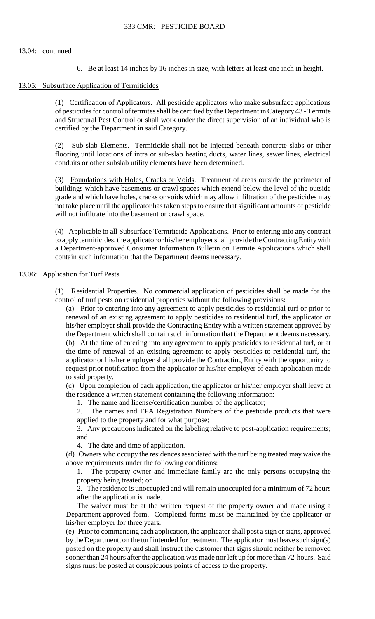6. Be at least 14 inches by 16 inches in size, with letters at least one inch in height.

#### 13.05: Subsurface Application of Termiticides

(1) Certification of Applicators. All pesticide applicators who make subsurface applications of pesticides for control of termites shall be certified by the Department in Category 43 - Termite and Structural Pest Control or shall work under the direct supervision of an individual who is certified by the Department in said Category.

(2) Sub-slab Elements. Termiticide shall not be injected beneath concrete slabs or other flooring until locations of intra or sub-slab heating ducts, water lines, sewer lines, electrical conduits or other subslab utility elements have been determined.

 (3) Foundations with Holes, Cracks or Voids. Treatment of areas outside the perimeter of buildings which have basements or crawl spaces which extend below the level of the outside grade and which have holes, cracks or voids which may allow infiltration of the pesticides may not take place until the applicator has taken steps to ensure that significant amounts of pesticide will not infiltrate into the basement or crawl space.

 to apply termiticides, the applicator or his/her employer shall provide the Contracting Entity with (4) Applicable to all Subsurface Termiticide Applications. Prior to entering into any contract a Department-approved Consumer Information Bulletin on Termite Applications which shall contain such information that the Department deems necessary.

### 13.06: Application for Turf Pests

 (1) Residential Properties. No commercial application of pesticides shall be made for the control of turf pests on residential properties without the following provisions:

 his/her employer shall provide the Contracting Entity with a written statement approved by applicator or his/her employer shall provide the Contracting Entity with the opportunity to (a) Prior to entering into any agreement to apply pesticides to residential turf or prior to renewal of an existing agreement to apply pesticides to residential turf, the applicator or the Department which shall contain such information that the Department deems necessary. (b) At the time of entering into any agreement to apply pesticides to residential turf, or at the time of renewal of an existing agreement to apply pesticides to residential turf, the request prior notification from the applicator or his/her employer of each application made to said property.

(c) Upon completion of each application, the applicator or his/her employer shall leave at the residence a written statement containing the following information:

1. The name and license/certification number of the applicator;

2. The names and EPA Registration Numbers of the pesticide products that were applied to the property and for what purpose;

 3. Any precautions indicated on the labeling relative to post-application requirements; and

4. The date and time of application.

(d) Owners who occupy the residences associated with the turf being treated may waive the above requirements under the following conditions:

1. The property owner and immediate family are the only persons occupying the property being treated; or

2. The residence is unoccupied and will remain unoccupied for a minimum of 72 hours after the application is made.

The waiver must be at the written request of the property owner and made using a Department-approved form. Completed forms must be maintained by the applicator or his/her employer for three years.

 (e) Prior to commencing each application, the applicator shall post a sign or signs, approved by the Department, on the turf intended for treatment. The applicator must leave such sign(s) posted on the property and shall instruct the customer that signs should neither be removed sooner than 24 hours after the application was made nor left up for more than 72-hours. Said signs must be posted at conspicuous points of access to the property.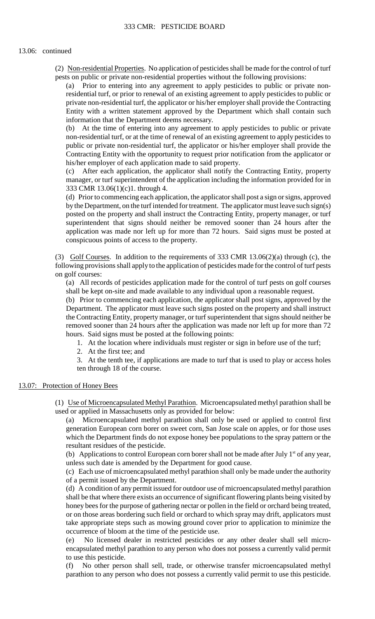(2) Non-residential Properties. No application of pesticides shall be made for the control of turf pests on public or private non-residential properties without the following provisions:

(a) Prior to entering into any agreement to apply pesticides to public or private nonresidential turf, or prior to renewal of an existing agreement to apply pesticides to public or private non-residential turf, the applicator or his/her employer shall provide the Contracting Entity with a written statement approved by the Department which shall contain such information that the Department deems necessary.

 non-residential turf, or at the time of renewal of an existing agreement to apply pesticides to (b) At the time of entering into any agreement to apply pesticides to public or private public or private non-residential turf, the applicator or his/her employer shall provide the Contracting Entity with the opportunity to request prior notification from the applicator or his/her employer of each application made to said property.

 (c) After each application, the applicator shall notify the Contracting Entity, property manager, or turf superintendent of the application including the information provided for in 333 CMR 13.06(1)(c)1. through 4.

 by the Department, on the turf intended for treatment. The applicator must leave such sign(s) superintendent that signs should neither be removed sooner than 24 hours after the application was made nor left up for more than 72 hours. Said signs must be posted at (d) Prior to commencing each application, the applicator shall post a sign or signs, approved posted on the property and shall instruct the Contracting Entity, property manager, or turf conspicuous points of access to the property.

(3) Golf Courses. In addition to the requirements of 333 CMR  $13.06(2)(a)$  through (c), the following provisions shall apply to the application of pesticides made for the control of turf pests on golf courses:

 (a) All records of pesticides application made for the control of turf pests on golf courses shall be kept on-site and made available to any individual upon a reasonable request.

(b) Prior to commencing each application, the applicator shall post signs, approved by the Department. The applicator must leave such signs posted on the property and shall instruct the Contracting Entity, property manager, or turf superintendent that signs should neither be removed sooner than 24 hours after the application was made nor left up for more than 72 hours. Said signs must be posted at the following points:

1. At the location where individuals must register or sign in before use of the turf;

2. At the first tee; and

 3. At the tenth tee, if applications are made to turf that is used to play or access holes ten through 18 of the course.

### 13.07: Protection of Honey Bees

 (1) Use of Microencapsulated Methyl Parathion. Microencapsulated methyl parathion shall be used or applied in Massachusetts only as provided for below:

(a) Microencapsulated methyl parathion shall only be used or applied to control first generation European corn borer on sweet corn, San Jose scale on apples, or for those uses which the Department finds do not expose honey bee populations to the spray pattern or the

resultant residues of the pesticide.<br>(b) Applications to control European corn borer shall not be made after July 1<sup>st</sup> of any year, unless such date is amended by the Department for good cause.

 (c) Each use of microencapsulated methyl parathion shall only be made under the authority of a permit issued by the Department.

(d) A condition of any permit issued for outdoor use of microencapsulated methyl parathion shall be that where there exists an occurrence of significant flowering plants being visited by honey bees for the purpose of gathering nectar or pollen in the field or orchard being treated, or on those areas bordering such field or orchard to which spray may drift, applicators must take appropriate steps such as mowing ground cover prior to application to minimize the occurrence of bloom at the time of the pesticide use.

 encapsulated methyl parathion to any person who does not possess a currently valid permit (e) No licensed dealer in restricted pesticides or any other dealer shall sell microto use this pesticide.

(f) No other person shall sell, trade, or otherwise transfer microencapsulated methyl parathion to any person who does not possess a currently valid permit to use this pesticide.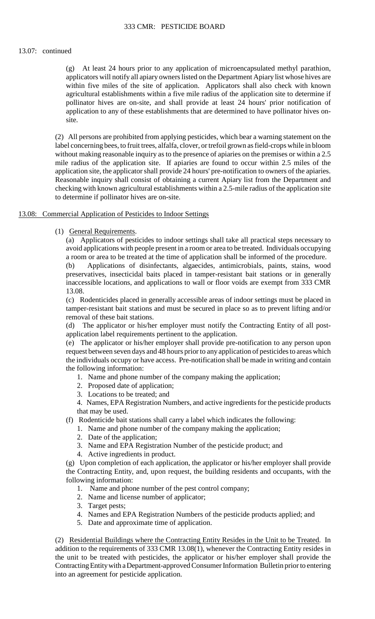(g) At least 24 hours prior to any application of microencapsulated methyl parathion, applicators will notify all apiary owners listed on the Department Apiary list whose hives are within five miles of the site of application. Applicators shall also check with known agricultural establishments within a five mile radius of the application site to determine if pollinator hives are on-site, and shall provide at least 24 hours' prior notification of application to any of these establishments that are determined to have pollinator hives onsite.

(2) All persons are prohibited from applying pesticides, which bear a warning statement on the label concerning bees, to fruit trees, alfalfa, clover, or trefoil grown as field-crops while in bloom without making reasonable inquiry as to the presence of apiaries on the premises or within a 2.5 mile radius of the application site. If apiaries are found to occur within 2.5 miles of the application site, the applicator shall provide 24 hours' pre-notification to owners of the apiaries. Reasonable inquiry shall consist of obtaining a current Apiary list from the Department and checking with known agricultural establishments within a 2.5-mile radius of the application site to determine if pollinator hives are on-site.

## 13.08: Commercial Application of Pesticides to Indoor Settings

(1) General Requirements.

(a) Applicators of pesticides to indoor settings shall take all practical steps necessary to avoid applications with people present in a room or area to be treated. Individuals occupying a room or area to be treated at the time of application shall be informed of the procedure.

(b) Applications of disinfectants, algaecides, antimicrobials, paints, stains, wood preservatives, insecticidal baits placed in tamper-resistant bait stations or in generally inaccessible locations, and applications to wall or floor voids are exempt from 333 CMR 13.08.

 (c) Rodenticides placed in generally accessible areas of indoor settings must be placed in tamper-resistant bait stations and must be secured in place so as to prevent lifting and/or removal of these bait stations.

(d) The applicator or his/her employer must notify the Contracting Entity of all postapplication label requirements pertinent to the application.

 the individuals occupy or have access. Pre-notification shall be made in writing and contain (e) The applicator or his/her employer shall provide pre-notification to any person upon request between seven days and 48 hours prior to any application of pesticides to areas which the following information:

- 1. Name and phone number of the company making the application;
- 2. Proposed date of application;
- 3. Locations to be treated; and

 4. Names, EPA Registration Numbers, and active ingredients for the pesticide products that may be used.

- (f) Rodenticide bait stations shall carry a label which indicates the following:
	- 1. Name and phone number of the company making the application;
	- 2. Date of the application;
	- 3. Name and EPA Registration Number of the pesticide product; and
	- 4. Active ingredients in product.

(g) Upon completion of each application, the applicator or his/her employer shall provide the Contracting Entity, and, upon request, the building residents and occupants, with the following information:

- 1. Name and phone number of the pest control company;
- 2. Name and license number of applicator;
- 3. Target pests;
- 4. Names and EPA Registration Numbers of the pesticide products applied; and
- 5. Date and approximate time of application.

 addition to the requirements of 333 CMR 13.08(1), whenever the Contracting Entity resides in (2) Residential Buildings where the Contracting Entity Resides in the Unit to be Treated. In the unit to be treated with pesticides, the applicator or his/her employer shall provide the Contracting Entity with a Department-approved Consumer Information Bulletin prior to entering into an agreement for pesticide application.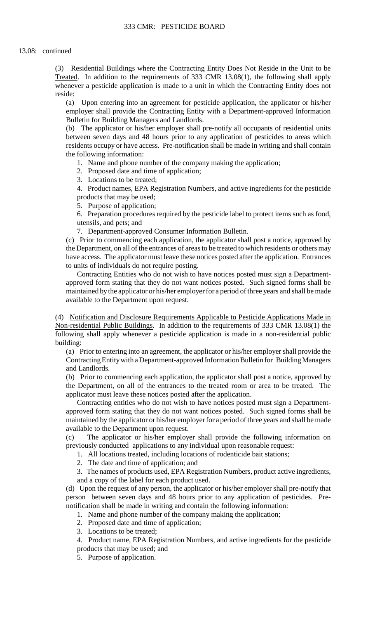whenever a pesticide application is made to a unit in which the Contracting Entity does not (3) Residential Buildings where the Contracting Entity Does Not Reside in the Unit to be Treated. In addition to the requirements of 333 CMR 13.08(1), the following shall apply reside:

(a) Upon entering into an agreement for pesticide application, the applicator or his/her employer shall provide the Contracting Entity with a Department-approved Information Bulletin for Building Managers and Landlords.

 (b) The applicator or his/her employer shall pre-notify all occupants of residential units between seven days and 48 hours prior to any application of pesticides to areas which residents occupy or have access. Pre-notification shall be made in writing and shall contain the following information:

- 1. Name and phone number of the company making the application;
- 2. Proposed date and time of application;
- 3. Locations to be treated;

 4. Product names, EPA Registration Numbers, and active ingredients for the pesticide products that may be used;

5. Purpose of application;

6. Preparation procedures required by the pesticide label to protect items such as food, utensils, and pets; and

7. Department-approved Consumer Information Bulletin.

(c) Prior to commencing each application, the applicator shall post a notice, approved by the Department, on all of the entrances of areas to be treated to which residents or others may have access. The applicator must leave these notices posted after the application. Entrances to units of individuals do not require posting.

Contracting Entities who do not wish to have notices posted must sign a Departmentapproved form stating that they do not want notices posted. Such signed forms shall be maintained by the applicator or his/her employer for a period of three years and shall be made available to the Department upon request.

(4) Notification and Disclosure Requirements Applicable to Pesticide Applications Made in Non-residential Public Buildings. In addition to the requirements of 333 CMR 13.08(1) the following shall apply whenever a pesticide application is made in a non-residential public building:

(a) Prior to entering into an agreement, the applicator or his/her employer shall provide the Contracting Entity with a Department-approved Information Bulletin for Building Managers and Landlords.

(b) Prior to commencing each application, the applicator shall post a notice, approved by the Department, on all of the entrances to the treated room or area to be treated. The applicator must leave these notices posted after the application.

Contracting entities who do not wish to have notices posted must sign a Departmentapproved form stating that they do not want notices posted. Such signed forms shall be maintained by the applicator or his/her employer for a period of three years and shall be made available to the Department upon request.

 $(c)$ The applicator or his/her employer shall provide the following information on previously conducted applications to any individual upon reasonable request:

- 1. All locations treated, including locations of rodenticide bait stations;
- 2. The date and time of application; and
- 3. The names of products used, EPA Registration Numbers, product active ingredients, and a copy of the label for each product used.

(d) Upon the request of any person, the applicator or his/her employer shall pre-notify that person between seven days and 48 hours prior to any application of pesticides. Prenotification shall be made in writing and contain the following information:

- 1. Name and phone number of the company making the application;
- 2. Proposed date and time of application;
- 3. Locations to be treated;
- 4. Product name, EPA Registration Numbers, and active ingredients for the pesticide products that may be used; and
- 5. Purpose of application.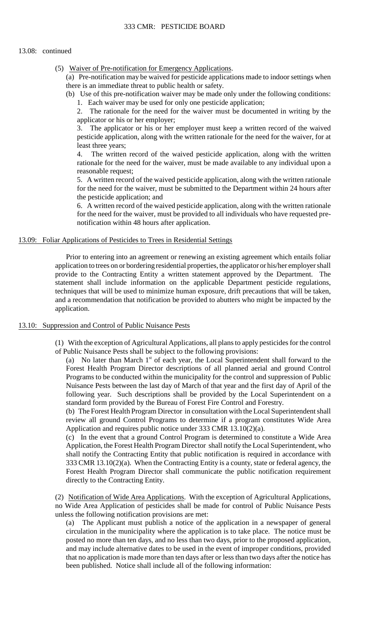(5) Waiver of Pre-notification for Emergency Applications.

(a) Pre-notification may be waived for pesticide applications made to indoor settings when there is an immediate threat to public health or safety.

(b) Use of this pre-notification waiver may be made only under the following conditions: 1. Each waiver may be used for only one pesticide application;

 2. The rationale for the need for the waiver must be documented in writing by the applicator or his or her employer;

3. The applicator or his or her employer must keep a written record of the waived pesticide application, along with the written rationale for the need for the waiver, for at least three years;

4. The written record of the waived pesticide application, along with the written rationale for the need for the waiver, must be made available to any individual upon a reasonable request;

 5. A written record of the waived pesticide application, along with the written rationale for the need for the waiver, must be submitted to the Department within 24 hours after the pesticide application; and

6. A written record of the waived pesticide application, along with the written rationale for the need for the waiver, must be provided to all individuals who have requested prenotification within 48 hours after application.

## 13.09: Foliar Applications of Pesticides to Trees in Residential Settings

Prior to entering into an agreement or renewing an existing agreement which entails foliar application to trees on or bordering residential properties, the applicator or his/her employer shall provide to the Contracting Entity a written statement approved by the Department. The statement shall include information on the applicable Department pesticide regulations, techniques that will be used to minimize human exposure, drift precautions that will be taken, and a recommendation that notification be provided to abutters who might be impacted by the application.

## 13.10: Suppression and Control of Public Nuisance Pests

(1) With the exception of Agricultural Applications, all plans to apply pesticides for the control of Public Nuisance Pests shall be subject to the following provisions:

(a) No later than March  $1<sup>st</sup>$  of each year, the Local Superintendent shall forward to the Nuisance Pests between the last day of March of that year and the first day of April of the Forest Health Program Director descriptions of all planned aerial and ground Control Programs to be conducted within the municipality for the control and suppression of Public following year. Such descriptions shall be provided by the Local Superintendent on a standard form provided by the Bureau of Forest Fire Control and Forestry.

(b) The Forest Health Program Director in consultation with the Local Superintendent shall review all ground Control Programs to determine if a program constitutes Wide Area Application and requires public notice under 333 CMR 13.10(2)(a).

 shall notify the Contracting Entity that public notification is required in accordance with (c) In the event that a ground Control Program is determined to constitute a Wide Area Application, the Forest Health Program Director shall notify the Local Superintendent, who 333 CMR 13.10(2)(a). When the Contracting Entity is a county, state or federal agency, the Forest Health Program Director shall communicate the public notification requirement directly to the Contracting Entity.

(2) Notification of Wide Area Applications. With the exception of Agricultural Applications, no Wide Area Application of pesticides shall be made for control of Public Nuisance Pests unless the following notification provisions are met:

(a) The Applicant must publish a notice of the application in a newspaper of general circulation in the municipality where the application is to take place. The notice must be posted no more than ten days, and no less than two days, prior to the proposed application, and may include alternative dates to be used in the event of improper conditions, provided that no application is made more than ten days after or less than two days after the notice has been published. Notice shall include all of the following information: